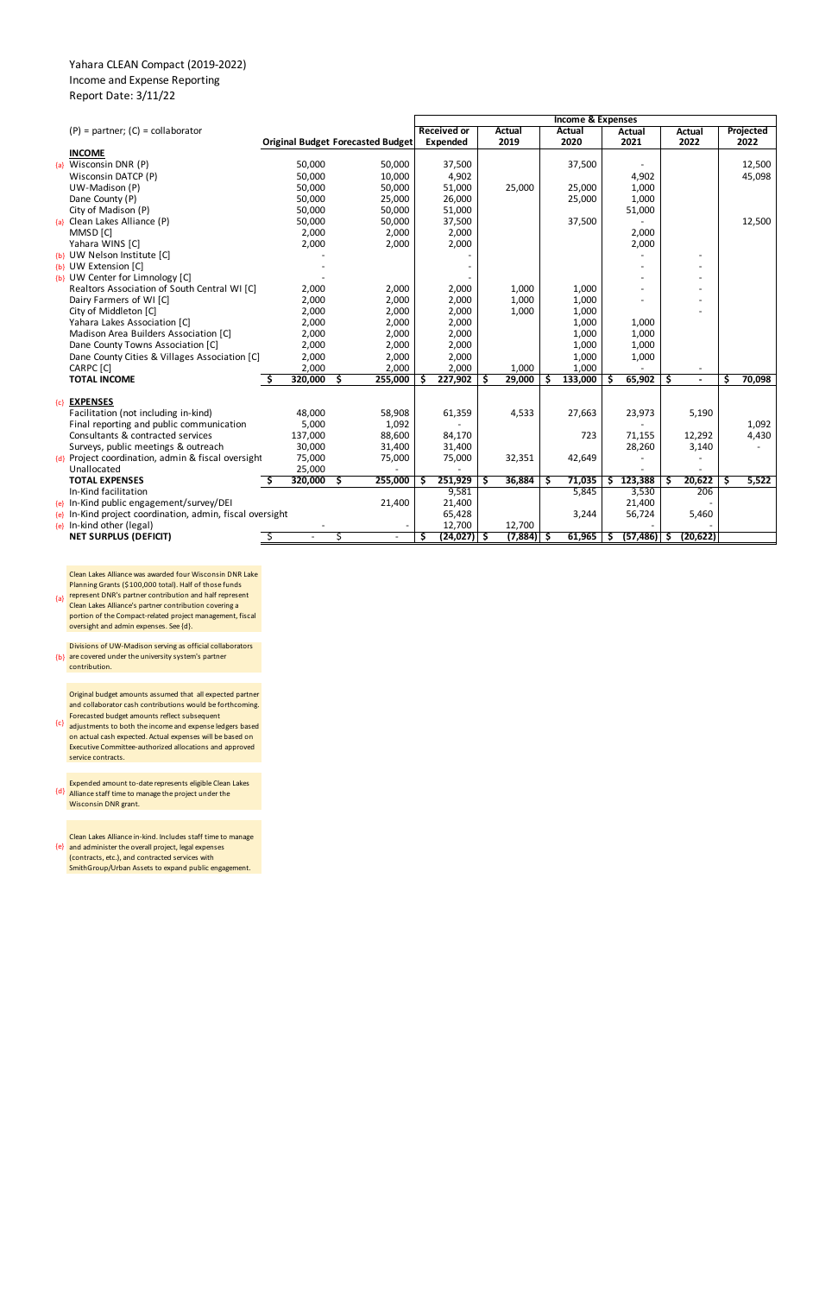## Yahara CLEAN Compact (2019-2022) Income and Expense Reporting Report Date: 3/11/22

Forecasted budget amounts reflect subsequent<br>{c} adjustments to both the income and expense le Original budget amounts assumed that all expected partner and collaborator cash contributions would be forthcoming.

|       |                                                                               |                  |                                          |                  | <b>Income &amp; Expenses</b> |                    |    |                |   |         |     |                |    |                |    |                  |
|-------|-------------------------------------------------------------------------------|------------------|------------------------------------------|------------------|------------------------------|--------------------|----|----------------|---|---------|-----|----------------|----|----------------|----|------------------|
|       | $(P)$ = partner; $(C)$ = collaborator                                         |                  |                                          |                  |                              | <b>Received or</b> |    | <b>Actual</b>  |   | Actual  |     | Actual         |    | <b>Actual</b>  |    | <b>Projected</b> |
|       |                                                                               |                  | <b>Original Budget Forecasted Budget</b> |                  |                              | Expended           |    | 2019           |   | 2020    |     | 2021           |    | 2022           |    | 2022             |
|       | <b>INCOME</b>                                                                 |                  |                                          |                  |                              |                    |    |                |   |         |     |                |    |                |    |                  |
| ${a}$ | Wisconsin DNR (P)                                                             | 50,000           |                                          | 50,000           |                              | 37,500             |    |                |   | 37,500  |     |                |    |                |    | 12,500           |
|       | Wisconsin DATCP (P)                                                           | 50,000           |                                          | 10,000           |                              | 4,902              |    |                |   |         |     | 4,902          |    |                |    | 45,098           |
|       | UW-Madison (P)                                                                | 50,000           |                                          | 50,000           |                              | 51,000             |    | 25,000         |   | 25,000  |     | 1,000          |    |                |    |                  |
|       | Dane County (P)                                                               | 50,000           |                                          | 25,000           |                              | 26,000             |    |                |   | 25,000  |     | 1,000          |    |                |    |                  |
|       | City of Madison (P)                                                           | 50,000           |                                          | 50,000           |                              | 51,000             |    |                |   |         |     | 51,000         |    |                |    |                  |
|       | {a} Clean Lakes Alliance (P)                                                  | 50,000           |                                          | 50,000           |                              | 37,500             |    |                |   | 37,500  |     |                |    |                |    | 12,500           |
|       | MMSD [C]                                                                      | 2,000            |                                          | 2,000            |                              | 2,000              |    |                |   |         |     | 2,000          |    |                |    |                  |
|       | Yahara WINS [C]                                                               | 2,000            |                                          | 2,000            |                              | 2,000              |    |                |   |         |     | 2,000          |    |                |    |                  |
|       | {b} UW Nelson Institute [C]                                                   |                  |                                          |                  |                              |                    |    |                |   |         |     |                |    |                |    |                  |
|       | {b} UW Extension [C]                                                          |                  |                                          |                  |                              |                    |    |                |   |         |     |                |    |                |    |                  |
|       | {b} UW Center for Limnology [C]                                               |                  |                                          |                  |                              |                    |    |                |   |         |     |                |    |                |    |                  |
|       | Realtors Association of South Central WI [C]                                  | 2,000            |                                          | 2,000            |                              | 2,000              |    | 1,000          |   | 1,000   |     |                |    |                |    |                  |
|       | Dairy Farmers of WI [C]                                                       | 2,000            |                                          | 2,000            |                              | 2,000              |    | 1,000          |   | 1,000   |     |                |    |                |    |                  |
|       | City of Middleton [C]                                                         | 2,000            |                                          | 2,000            |                              | 2,000              |    | 1,000          |   | 1,000   |     |                |    |                |    |                  |
|       | Yahara Lakes Association [C]                                                  | 2,000            |                                          | 2,000            |                              | 2,000              |    |                |   | 1,000   |     | 1,000          |    |                |    |                  |
|       | Madison Area Builders Association [C]                                         | 2,000            |                                          | 2,000            |                              | 2,000              |    |                |   | 1,000   |     | 1,000          |    |                |    |                  |
|       | Dane County Towns Association [C]                                             | 2,000            |                                          | 2,000            |                              | 2,000              |    |                |   | 1,000   |     | 1,000          |    |                |    |                  |
|       | Dane County Cities & Villages Association [C]                                 | 2,000            |                                          | 2,000            |                              | 2,000              |    |                |   | 1,000   |     | 1,000          |    |                |    |                  |
|       | CARPC [C]                                                                     | 2,000            |                                          | 2,000            |                              | 2,000              |    | 1,000          |   | 1,000   |     |                |    |                |    |                  |
|       | <b>TOTAL INCOME</b>                                                           | 320,000          | 255,000<br>S.                            |                  |                              | 227,902            |    | 29,000         | S | 133,000 | -S  | 65,902         | Ŝ. | $\blacksquare$ | Ŝ  | 70,098           |
|       |                                                                               |                  |                                          |                  |                              |                    |    |                |   |         |     |                |    |                |    |                  |
| ${c}$ | <b>EXPENSES</b>                                                               |                  |                                          |                  |                              |                    |    |                |   |         |     |                |    |                |    |                  |
|       | Facilitation (not including in-kind)                                          | 48,000           |                                          | 58,908           |                              | 61,359             |    | 4,533          |   | 27,663  |     | 23,973         |    | 5,190          |    |                  |
|       | Final reporting and public communication<br>Consultants & contracted services | 5,000<br>137,000 |                                          | 1,092<br>88,600  |                              | 84,170             |    |                |   | 723     |     | 71,155         |    | 12,292         |    | 1,092<br>4,430   |
|       | Surveys, public meetings & outreach                                           | 30,000           |                                          |                  |                              |                    |    |                |   |         |     |                |    |                |    |                  |
|       | {d} Project coordination, admin & fiscal oversight                            | 75,000           |                                          | 31,400<br>75,000 |                              | 31,400<br>75,000   |    | 32,351         |   | 42,649  |     | 28,260         |    | 3,140          |    |                  |
|       | Unallocated                                                                   | 25,000           |                                          |                  |                              |                    |    |                |   |         |     |                |    |                |    |                  |
|       | <b>TOTAL EXPENSES</b>                                                         | 320,000          | 255,000<br>Ŝ.                            |                  | S                            | 251,929            | ۱s | 36,884         | S | 71,035  | \$. | 123,388        | Ŝ  | 20,622         | Ŝ. | 5,522            |
|       | In-Kind facilitation                                                          |                  |                                          |                  |                              | 9,581              |    |                |   | 5,845   |     | 3,530          |    | 206            |    |                  |
|       | {e} In-Kind public engagement/survey/DEI                                      |                  |                                          | 21,400           |                              | 21,400             |    |                |   |         |     | 21,400         |    |                |    |                  |
|       | {e} In-Kind project coordination, admin, fiscal oversight                     |                  |                                          |                  |                              | 65,428             |    |                |   | 3,244   |     | 56,724         |    | 5,460          |    |                  |
|       | $\{e\}$ In-kind other (legal)                                                 |                  |                                          |                  |                              | 12,700             |    | 12,700         |   |         |     |                |    |                |    |                  |
|       | <b>NET SURPLUS (DEFICIT)</b>                                                  |                  | S                                        | $\blacksquare$   | Ş                            | $(24, 027)$ \$     |    | $(7,884)$   \$ |   | 61,965  | -S  | $(57, 486)$ \$ |    | (20, 622)      |    |                  |
|       |                                                                               |                  |                                          |                  |                              |                    |    |                |   |         |     |                |    |                |    |                  |

Clean Lakes Alliance was awarded four Wisconsin DNR Lake Planning Grants (\$100,000 total). Half of those funds

{a} represent DNR's partner contribution and half represent Clean Lakes Alliance's partner contribution covering a portion of the Compact-related project management, fiscal oversight and admin expenses. See {d}.

{b} are covered under the university system's partner Divisions of UW-Madison serving as official collaborators contribution.

adjustments to both the income and expense ledgers based on actual cash expected. Actual expenses will be based on Executive Committee-authorized allocations and approved service contracts.

{d} Alliance staff time to manage the project under the Expended amount to-date represents eligible Clean Lakes Wisconsin DNR grant.

{e} and administer the overall project, legal expenses Clean Lakes Alliance in-kind. Includes staff time to manage (contracts, etc.), and contracted services with SmithGroup/Urban Assets to expand public engagement.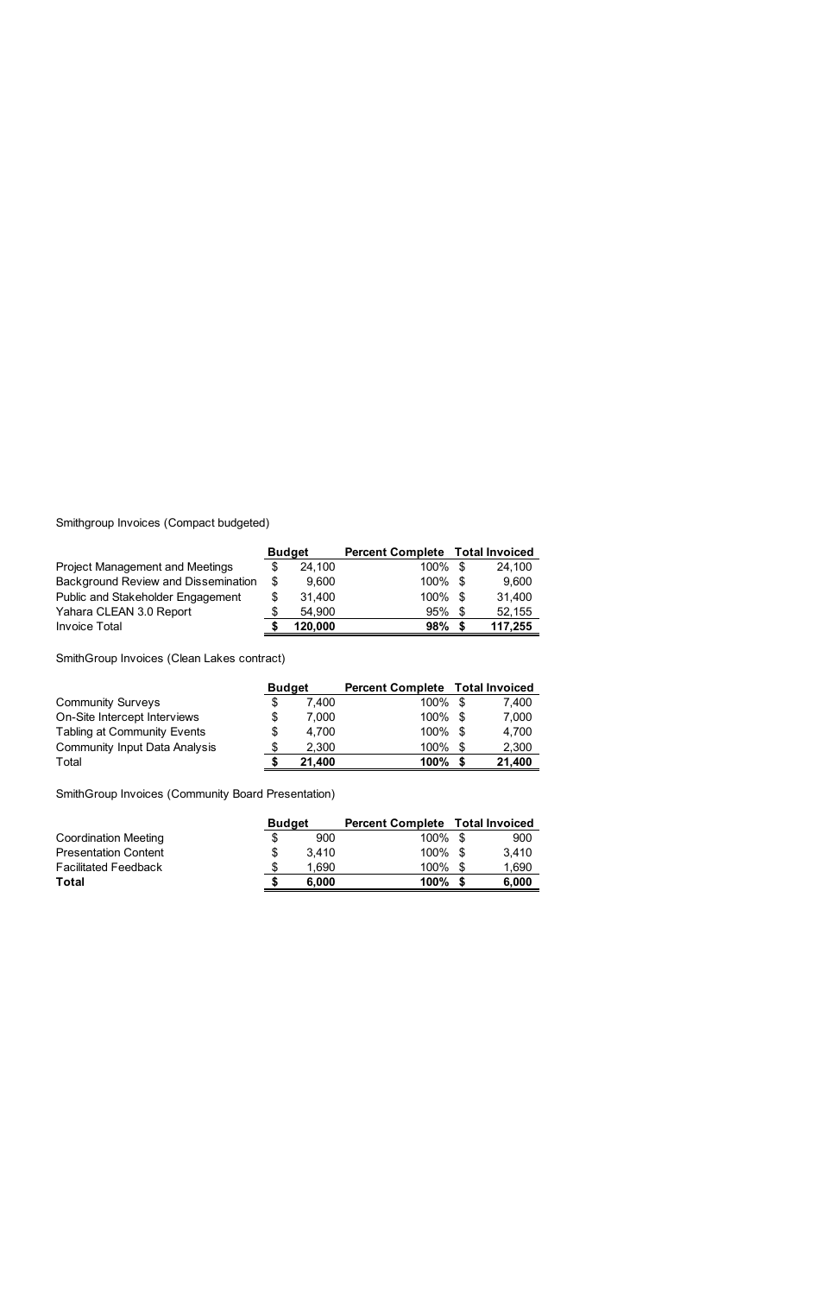Smithgroup Invoices (Compact budgeted)

|                                        | <b>Budget</b> | <b>Percent Complete Total Invoiced</b> |    |         |  |
|----------------------------------------|---------------|----------------------------------------|----|---------|--|
| <b>Project Management and Meetings</b> | 24,100        | 100% \$                                |    | 24,100  |  |
| Background Review and Dissemination    | \$<br>9,600   | 100% \$                                |    | 9,600   |  |
| Public and Stakeholder Engagement      | \$<br>31,400  | 100% \$                                |    | 31,400  |  |
| Yahara CLEAN 3.0 Report                | \$<br>54,900  | 95%                                    | .S | 52,155  |  |
| <b>Invoice Total</b>                   | 120,000       | 98%                                    |    | 117,255 |  |

SmithGroup Invoices (Clean Lakes contract)

|                                      | <b>Budget</b> |        | <b>Percent Complete Total Invoiced</b> |  |        |  |
|--------------------------------------|---------------|--------|----------------------------------------|--|--------|--|
| <b>Community Surveys</b>             |               | 7,400  | 100% \$                                |  | 7,400  |  |
| On-Site Intercept Interviews         | \$            | 7.000  | 100% \$                                |  | 7,000  |  |
| <b>Tabling at Community Events</b>   | \$            | 4,700  | 100% \$                                |  | 4,700  |  |
| <b>Community Input Data Analysis</b> |               | 2,300  | 100%                                   |  | 2,300  |  |
| Total                                |               | 21,400 | 100%                                   |  | 21,400 |  |

SmithGroup Invoices (Community Board Presentation)

|                             | <b>Budget</b> | <b>Percent Complete Total Invoiced</b> |    |       |  |
|-----------------------------|---------------|----------------------------------------|----|-------|--|
| <b>Coordination Meeting</b> | \$<br>900     | $100\%$ \$                             |    | 900   |  |
| <b>Presentation Content</b> | \$<br>3.410   | 100% \$                                |    | 3.410 |  |
| <b>Facilitated Feedback</b> | 1,690         | 100%                                   | -S | 1,690 |  |
| Total                       | 6.000         | 100%                                   |    | 6,000 |  |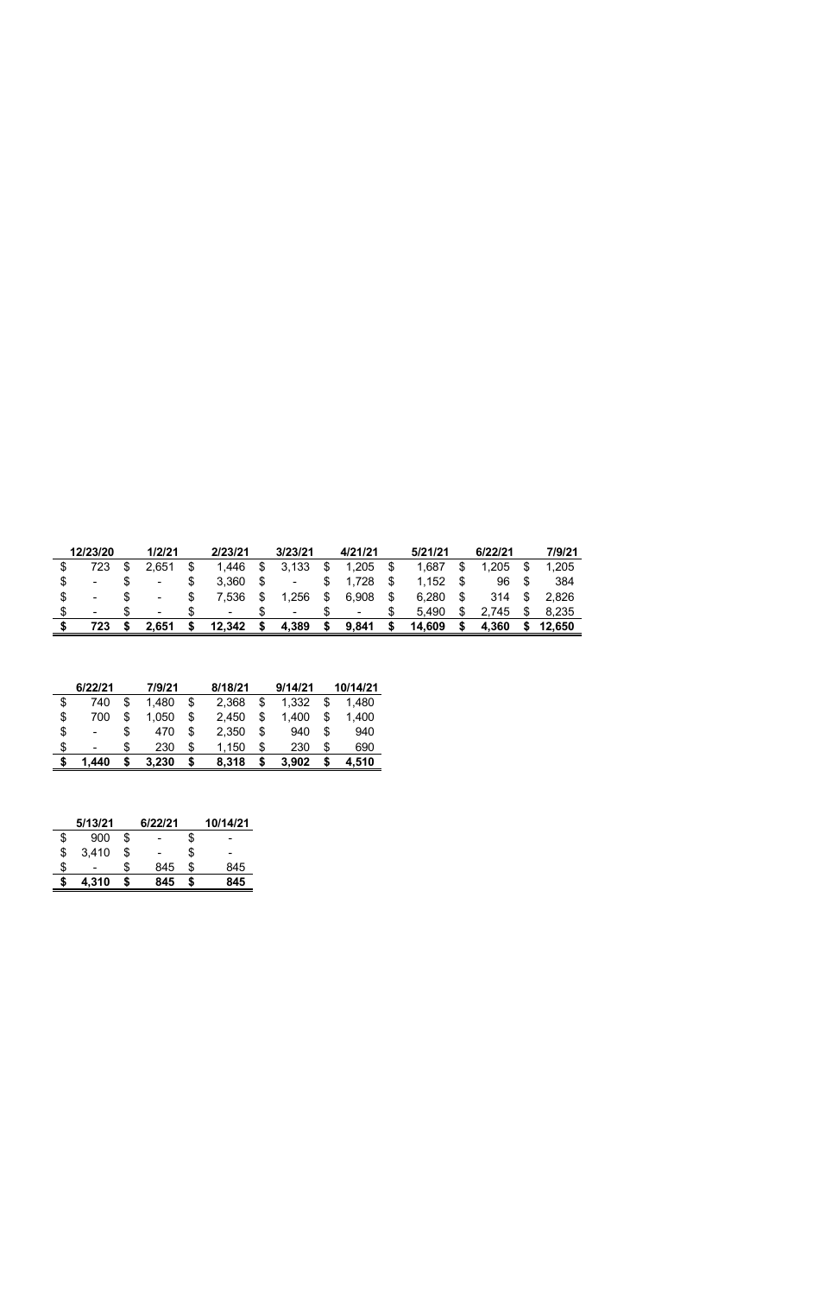| 12/23/20       | 1/2/21 | 2/23/21        | 3/23/21     |    | 4/21/21 | 5/21/21      |    | 6/22/21 | 7/9/21 |
|----------------|--------|----------------|-------------|----|---------|--------------|----|---------|--------|
| 723            | 2,651  | 1,446          | \$<br>3.133 | \$ | 1,205   | \$<br>1,687  | \$ | 1,205   | 1,205  |
|                | -      | 3,360          | ۰           |    | 1,728   | \$<br>1,152  | S  | 96      | 384    |
| ۰              | ۰      | 7,536          | \$<br>.256  | \$ | 6,908   | \$<br>6,280  | S  | 314     | 2,826  |
| $\blacksquare$ | $\sim$ | $\blacksquare$ | ۰           |    | $\sim$  | \$<br>5,490  | \$ | 745     | 8,235  |
| 723            | 2,651  | 12,342         | 4,389       | S  | 9,841   | \$<br>14,609 |    | 4,360   | 12,650 |

| 6/22/21     |    | 7/9/21 |    | 8/18/21 |    | 9/14/21 | 10/14/21    |
|-------------|----|--------|----|---------|----|---------|-------------|
| \$<br>740   | \$ | 1,480  | \$ | 2,368   | \$ | 1,332   | \$<br>1,480 |
| \$<br>700   | \$ | 1,050  | \$ | 2,450   | \$ | 1,400   | \$<br>1,400 |
| \$<br>۰     | S  | 470    | \$ | 2,350   | \$ | 940     | \$<br>940   |
| \$<br>-     | S  | 230    | \$ | 1,150   | \$ | 230     | \$<br>690   |
| \$<br>1.440 | \$ | 3,230  | S  | 8,318   | S  | 3.902   | \$<br>4,510 |

| 5/13/21     | 6/22/21   | 10/14/21  |
|-------------|-----------|-----------|
| \$<br>900   | \$        | \$        |
| \$<br>3,410 | \$        | \$        |
| \$          | \$<br>845 | \$<br>845 |
| \$<br>4,310 | 845       | 845       |